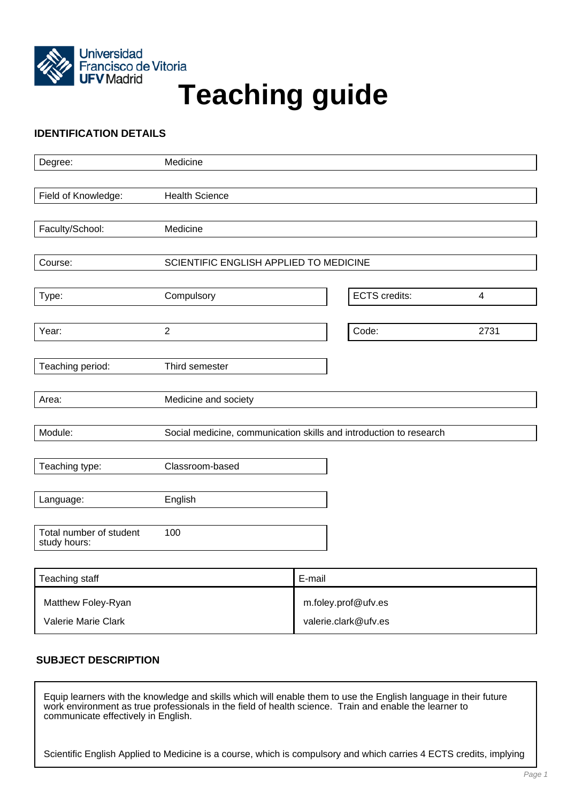

# Francisco de Vitoria<br>UFV Madrid<br>
Teaching guide

# **IDENTIFICATION DETAILS**

| Degree:                                 | Medicine                                                           |  |                      |      |
|-----------------------------------------|--------------------------------------------------------------------|--|----------------------|------|
|                                         |                                                                    |  |                      |      |
| Field of Knowledge:                     | <b>Health Science</b>                                              |  |                      |      |
|                                         |                                                                    |  |                      |      |
| Faculty/School:                         | Medicine                                                           |  |                      |      |
|                                         |                                                                    |  |                      |      |
| Course:                                 | SCIENTIFIC ENGLISH APPLIED TO MEDICINE                             |  |                      |      |
|                                         |                                                                    |  |                      |      |
| Type:                                   | Compulsory                                                         |  | <b>ECTS</b> credits: | 4    |
|                                         |                                                                    |  |                      |      |
| Year:                                   | $\overline{2}$                                                     |  | Code:                | 2731 |
|                                         |                                                                    |  |                      |      |
| Teaching period:                        | Third semester                                                     |  |                      |      |
| Area:                                   | Medicine and society                                               |  |                      |      |
|                                         |                                                                    |  |                      |      |
| Module:                                 | Social medicine, communication skills and introduction to research |  |                      |      |
|                                         |                                                                    |  |                      |      |
| Teaching type:                          | Classroom-based                                                    |  |                      |      |
|                                         |                                                                    |  |                      |      |
| Language:                               | English                                                            |  |                      |      |
|                                         |                                                                    |  |                      |      |
| Total number of student<br>study hours: | 100                                                                |  |                      |      |
|                                         |                                                                    |  |                      |      |

| Teaching staff      | E-mail               |
|---------------------|----------------------|
| Matthew Foley-Ryan  | m.foley.prof@ufv.es  |
| Valerie Marie Clark | valerie.clark@ufv.es |

# **SUBJECT DESCRIPTION**

Equip learners with the knowledge and skills which will enable them to use the English language in their future work environment as true professionals in the field of health science. Train and enable the learner to communicate effectively in English.

Scientific English Applied to Medicine is a course, which is compulsory and which carries 4 ECTS credits, implying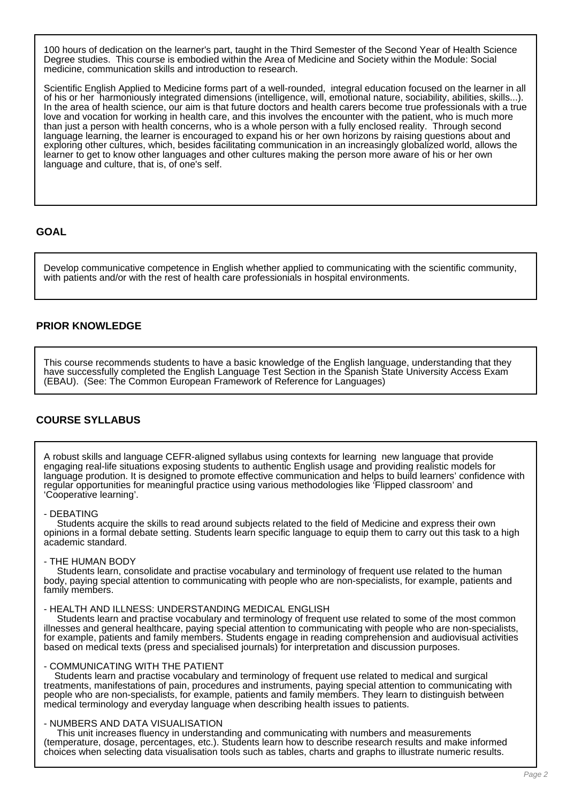100 hours of dedication on the learner's part, taught in the Third Semester of the Second Year of Health Science Degree studies. This course is embodied within the Area of Medicine and Society within the Module: Social medicine, communication skills and introduction to research.

Scientific English Applied to Medicine forms part of a well-rounded, integral education focused on the learner in all of his or her harmoniously integrated dimensions (intelligence, will, emotional nature, sociability, abilities, skills...). In the area of health science, our aim is that future doctors and health carers become true professionals with a true love and vocation for working in health care, and this involves the encounter with the patient, who is much more than just a person with health concerns, who is a whole person with a fully enclosed reality. Through second language learning, the learner is encouraged to expand his or her own horizons by raising questions about and exploring other cultures, which, besides facilitating communication in an increasingly globalized world, allows the learner to get to know other languages and other cultures making the person more aware of his or her own language and culture, that is, of one's self.

# **GOAL**

Develop communicative competence in English whether applied to communicating with the scientific community, with patients and/or with the rest of health care professionials in hospital environments.

# **PRIOR KNOWLEDGE**

This course recommends students to have a basic knowledge of the English language, understanding that they have successfully completed the English Language Test Section in the Spanish State University Access Exam (EBAU). (See: The Common European Framework of Reference for Languages)

# **COURSE SYLLABUS**

A robust skills and language CEFR-aligned syllabus using contexts for learning new language that provide engaging real-life situations exposing students to authentic English usage and providing realistic models for language prodution. It is designed to promote effective communication and helps to build learners' confidence with regular opportunities for meaningful practice using various methodologies like 'Flipped classroom' and 'Cooperative learning'.

#### - DEBATING

 Students acquire the skills to read around subjects related to the field of Medicine and express their own opinions in a formal debate setting. Students learn specific language to equip them to carry out this task to a high academic standard.

### - THE HUMAN BODY

 Students learn, consolidate and practise vocabulary and terminology of frequent use related to the human body, paying special attention to communicating with people who are non-specialists, for example, patients and family members.

#### - HEALTH AND ILLNESS: UNDERSTANDING MEDICAL ENGLISH

 Students learn and practise vocabulary and terminology of frequent use related to some of the most common illnesses and general healthcare, paying special attention to communicating with people who are non-specialists, for example, patients and family members. Students engage in reading comprehension and audiovisual activities based on medical texts (press and specialised journals) for interpretation and discussion purposes.

#### - COMMUNICATING WITH THE PATIENT

 Students learn and practise vocabulary and terminology of frequent use related to medical and surgical treatments, manifestations of pain, procedures and instruments, paying special attention to communicating with people who are non-specialists, for example, patients and family members. They learn to distinguish between medical terminology and everyday language when describing health issues to patients.

### - NUMBERS AND DATA VISUALISATION

 This unit increases fluency in understanding and communicating with numbers and measurements (temperature, dosage, percentages, etc.). Students learn how to describe research results and make informed choices when selecting data visualisation tools such as tables, charts and graphs to illustrate numeric results.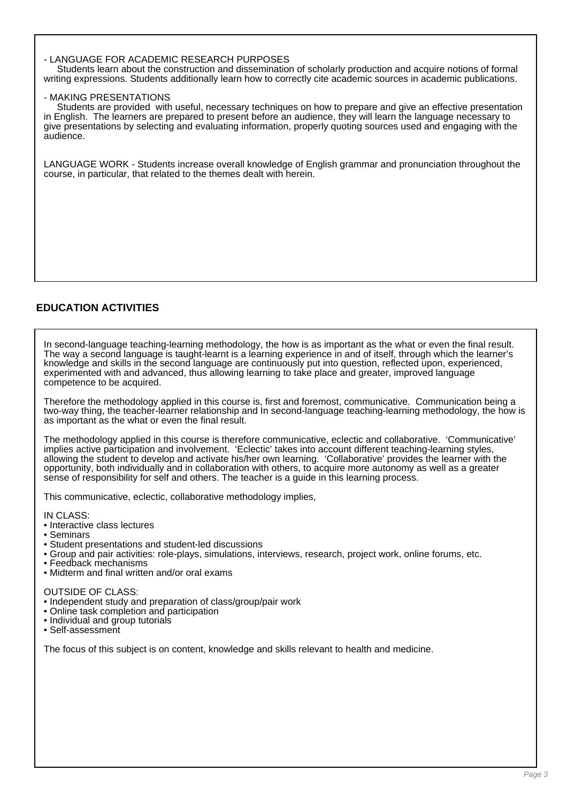## - LANGUAGE FOR ACADEMIC RESEARCH PURPOSES

 Students learn about the construction and dissemination of scholarly production and acquire notions of formal writing expressions. Students additionally learn how to correctly cite academic sources in academic publications.

### - MAKING PRESENTATIONS

 Students are provided with useful, necessary techniques on how to prepare and give an effective presentation in English. The learners are prepared to present before an audience, they will learn the language necessary to give presentations by selecting and evaluating information, properly quoting sources used and engaging with the audience.

LANGUAGE WORK - Students increase overall knowledge of English grammar and pronunciation throughout the course, in particular, that related to the themes dealt with herein.

# **EDUCATION ACTIVITIES**

In second-language teaching-learning methodology, the how is as important as the what or even the final result. The way a second language is taught-learnt is a learning experience in and of itself, through which the learner's knowledge and skills in the second language are continuously put into question, reflected upon, experienced, experimented with and advanced, thus allowing learning to take place and greater, improved language competence to be acquired.

Therefore the methodology applied in this course is, first and foremost, communicative. Communication being a two-way thing, the teacher-learner relationship and In second-language teaching-learning methodology, the how is as important as the what or even the final result.

The methodology applied in this course is therefore communicative, eclectic and collaborative. 'Communicative' implies active participation and involvement. 'Eclectic' takes into account different teaching-learning styles, allowing the student to develop and activate his/her own learning. 'Collaborative' provides the learner with the opportunity, both individually and in collaboration with others, to acquire more autonomy as well as a greater sense of responsibility for self and others. The teacher is a guide in this learning process.

This communicative, eclectic, collaborative methodology implies,

IN CLASS:

- Interactive class lectures
- Seminars
- Student presentations and student-led discussions
- Group and pair activities: role-plays, simulations, interviews, research, project work, online forums, etc.
- Feedback mechanisms
- Midterm and final written and/or oral exams

OUTSIDE OF CLASS:

- Independent study and preparation of class/group/pair work
- Online task completion and participation
- Individual and group tutorials
- Self-assessment

The focus of this subject is on content, knowledge and skills relevant to health and medicine.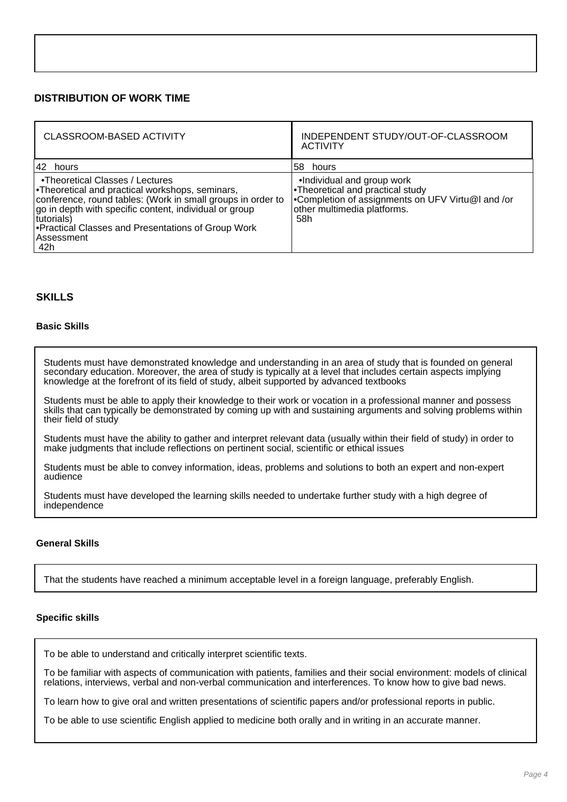# **DISTRIBUTION OF WORK TIME**

| CLASSROOM-BASED ACTIVITY                                                                                                                                                                                                                                                                                                 | INDEPENDENT STUDY/OUT-OF-CLASSROOM<br><b>ACTIVITY</b>                                                                                                      |
|--------------------------------------------------------------------------------------------------------------------------------------------------------------------------------------------------------------------------------------------------------------------------------------------------------------------------|------------------------------------------------------------------------------------------------------------------------------------------------------------|
| 42 hours                                                                                                                                                                                                                                                                                                                 | 58 hours                                                                                                                                                   |
| •Theoretical Classes / Lectures<br><b>Theoretical and practical workshops, seminars,</b><br>conference, round tables: (Work in small groups in order to<br>go in depth with specific content, individual or group<br>tutorials)<br><b>Practical Classes and Presentations of Group Work</b><br><b>Assessment</b><br>∣42h | •Individual and group work<br>. Theoretical and practical study<br>•Completion of assignments on UFV Virtu@I and /or<br>other multimedia platforms.<br>58h |

# **SKILLS**

## **Basic Skills**

Students must have demonstrated knowledge and understanding in an area of study that is founded on general secondary education. Moreover, the area of study is typically at a level that includes certain aspects implying knowledge at the forefront of its field of study, albeit supported by advanced textbooks

Students must be able to apply their knowledge to their work or vocation in a professional manner and possess skills that can typically be demonstrated by coming up with and sustaining arguments and solving problems within their field of study

Students must have the ability to gather and interpret relevant data (usually within their field of study) in order to make judgments that include reflections on pertinent social, scientific or ethical issues

Students must be able to convey information, ideas, problems and solutions to both an expert and non-expert audience

Students must have developed the learning skills needed to undertake further study with a high degree of independence

## **General Skills**

That the students have reached a minimum acceptable level in a foreign language, preferably English.

### **Specific skills**

To be able to understand and critically interpret scientific texts.

To be familiar with aspects of communication with patients, families and their social environment: models of clinical relations, interviews, verbal and non-verbal communication and interferences. To know how to give bad news.

To learn how to give oral and written presentations of scientific papers and/or professional reports in public.

To be able to use scientific English applied to medicine both orally and in writing in an accurate manner.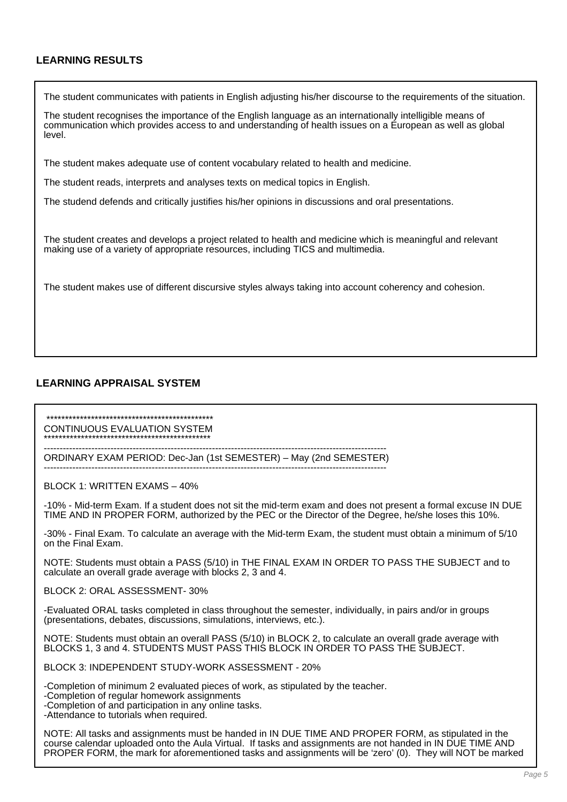# **LEARNING RESULTS**

The student communicates with patients in English adjusting his/her discourse to the requirements of the situation.

The student recognises the importance of the English language as an internationally intelligible means of communication which provides access to and understanding of health issues on a European as well as global level.

The student makes adequate use of content vocabulary related to health and medicine.

The student reads, interprets and analyses texts on medical topics in English.

The studend defends and critically justifies his/her opinions in discussions and oral presentations.

The student creates and develops a project related to health and medicine which is meaningful and relevant making use of a variety of appropriate resources, including TICS and multimedia.

The student makes use of different discursive styles always taking into account coherency and cohesion.

# **LEARNING APPRAISAL SYSTEM**

 \*\*\*\*\*\*\*\*\*\*\*\*\*\*\*\*\*\*\*\*\*\*\*\*\*\*\*\*\*\*\*\*\*\*\*\*\*\*\*\*\*\*\*\*\* CONTINUOUS EVALUATION SYSTEM \*\*\*\*\*\*\*\*\*\*\*\*\*\*\*\*\*\*\*\*\*\*\*\*\*\*\*\*\*\*\*\*\*\*\*\*\*\*\*\*\*\*\*\*\*

------------------------------------------------------------------------------------------------------------ ORDINARY EXAM PERIOD: Dec-Jan (1st SEMESTER) – May (2nd SEMESTER)

------------------------------------------------------------------------------------------------------------

BLOCK 1: WRITTEN EXAMS – 40%

-10% - Mid-term Exam. If a student does not sit the mid-term exam and does not present a formal excuse IN DUE TIME AND IN PROPER FORM, authorized by the PEC or the Director of the Degree, he/she loses this 10%.

-30% - Final Exam. To calculate an average with the Mid-term Exam, the student must obtain a minimum of 5/10 on the Final Exam.

NOTE: Students must obtain a PASS (5/10) in THE FINAL EXAM IN ORDER TO PASS THE SUBJECT and to calculate an overall grade average with blocks 2, 3 and 4.

BLOCK 2: ORAL ASSESSMENT- 30%

-Evaluated ORAL tasks completed in class throughout the semester, individually, in pairs and/or in groups (presentations, debates, discussions, simulations, interviews, etc.).

NOTE: Students must obtain an overall PASS (5/10) in BLOCK 2, to calculate an overall grade average with BLOCKS 1, 3 and 4. STUDENTS MUST PASS THIS BLOCK IN ORDER TO PASS THE SUBJECT.

BLOCK 3: INDEPENDENT STUDY-WORK ASSESSMENT - 20%

-Completion of minimum 2 evaluated pieces of work, as stipulated by the teacher.

-Completion of regular homework assignments

-Completion of and participation in any online tasks.

-Attendance to tutorials when required.

NOTE: All tasks and assignments must be handed in IN DUE TIME AND PROPER FORM, as stipulated in the course calendar uploaded onto the Aula Virtual. If tasks and assignments are not handed in IN DUE TIME AND PROPER FORM, the mark for aforementioned tasks and assignments will be 'zero' (0). They will NOT be marked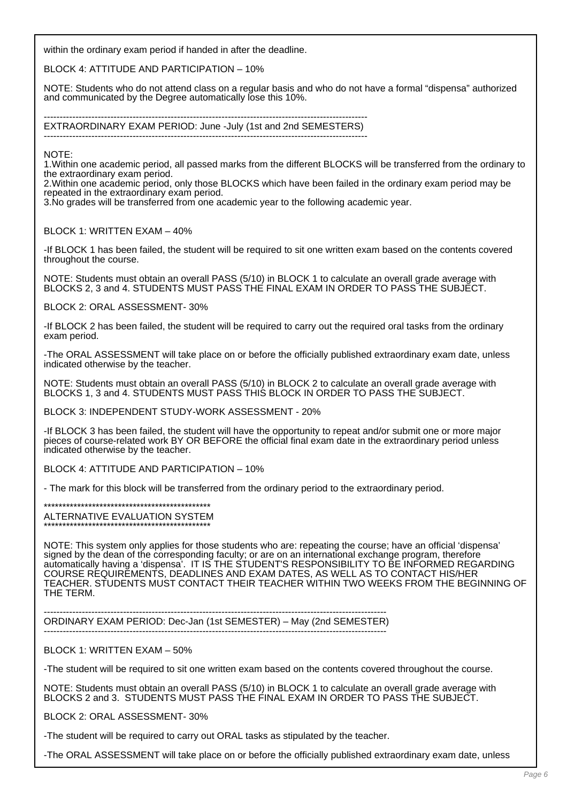within the ordinary exam period if handed in after the deadline.

BLOCK 4: ATTITUDE AND PARTICIPATION – 10%

NOTE: Students who do not attend class on a regular basis and who do not have a formal "dispensa" authorized and communicated by the Degree automatically lose this 10%.

------------------------------------------------------------------------------------------------------ EXTRAORDINARY EXAM PERIOD: June -July (1st and 2nd SEMESTERS) ------------------------------------------------------------------------------------------------------

NOTE:

1.Within one academic period, all passed marks from the different BLOCKS will be transferred from the ordinary to the extraordinary exam period.

2.Within one academic period, only those BLOCKS which have been failed in the ordinary exam period may be repeated in the extraordinary exam period.

3.No grades will be transferred from one academic year to the following academic year.

BLOCK 1: WRITTEN EXAM – 40%

-If BLOCK 1 has been failed, the student will be required to sit one written exam based on the contents covered throughout the course.

NOTE: Students must obtain an overall PASS (5/10) in BLOCK 1 to calculate an overall grade average with BLOCKS 2, 3 and 4. STUDENTS MUST PASS THE FINAL EXAM IN ORDER TO PASS THE SUBJECT.

BLOCK 2: ORAL ASSESSMENT- 30%

-If BLOCK 2 has been failed, the student will be required to carry out the required oral tasks from the ordinary exam period.

-The ORAL ASSESSMENT will take place on or before the officially published extraordinary exam date, unless indicated otherwise by the teacher.

NOTE: Students must obtain an overall PASS (5/10) in BLOCK 2 to calculate an overall grade average with BLOCKS 1, 3 and 4. STUDENTS MUST PASS THIS BLOCK IN ORDER TO PASS THE SUBJECT.

BLOCK 3: INDEPENDENT STUDY-WORK ASSESSMENT - 20%

-If BLOCK 3 has been failed, the student will have the opportunity to repeat and/or submit one or more major pieces of course-related work BY OR BEFORE the official final exam date in the extraordinary period unless indicated otherwise by the teacher.

BLOCK 4: ATTITUDE AND PARTICIPATION – 10%

- The mark for this block will be transferred from the ordinary period to the extraordinary period.

\*\*\*\*\*\*\*\*\*\*\*\*\*\*\*\*\*\*\*\*\*\*\*\*\*\*\*\*\*\*\*\*\*\*\*\*\*\*\*\*\*\*\*\*\* ALTERNATIVE EVALUATION SYSTEM \*\*\*\*\*\*\*\*\*\*\*\*\*\*\*\*\*\*\*\*\*\*\*\*\*\*\*\*\*\*\*\*\*\*\*\*\*\*\*\*\*\*\*\*\*

NOTE: This system only applies for those students who are: repeating the course; have an official 'dispensa' signed by the dean of the corresponding faculty; or are on an international exchange program, therefore automatically having a 'dispensa'. IT IS THE STUDENT'S RESPONSIBILITY TO BE INFORMED REGARDING COURSE REQUIREMENTS, DEADLINES AND EXAM DATES, AS WELL AS TO CONTACT HIS/HER TEACHER. STUDENTS MUST CONTACT THEIR TEACHER WITHIN TWO WEEKS FROM THE BEGINNING OF THE TERM.

------------------------------------------------------------------------------------------------------------ ORDINARY EXAM PERIOD: Dec-Jan (1st SEMESTER) – May (2nd SEMESTER) ------------------------------------------------------------------------------------------------------------

BLOCK 1: WRITTEN EXAM – 50%

-The student will be required to sit one written exam based on the contents covered throughout the course.

NOTE: Students must obtain an overall PASS (5/10) in BLOCK 1 to calculate an overall grade average with BLOCKS 2 and 3. STUDENTS MUST PASS THE FINAL EXAM IN ORDER TO PASS THE SUBJECT.

BLOCK 2: ORAL ASSESSMENT- 30%

-The student will be required to carry out ORAL tasks as stipulated by the teacher.

-The ORAL ASSESSMENT will take place on or before the officially published extraordinary exam date, unless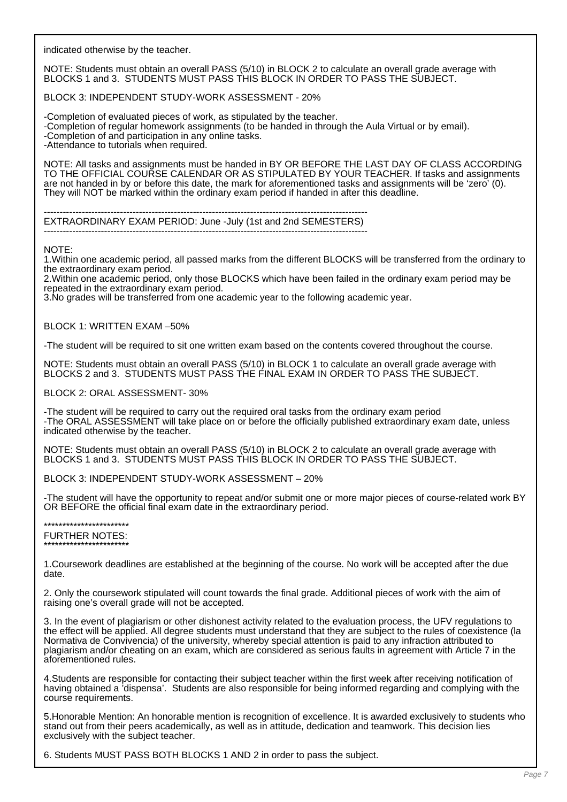indicated otherwise by the teacher.

NOTE: Students must obtain an overall PASS (5/10) in BLOCK 2 to calculate an overall grade average with BLOCKS 1 and 3. STUDENTS MUST PASS THIS BLOCK IN ORDER TO PASS THE SUBJECT.

BLOCK 3: INDEPENDENT STUDY-WORK ASSESSMENT - 20%

-Completion of evaluated pieces of work, as stipulated by the teacher. -Completion of regular homework assignments (to be handed in through the Aula Virtual or by email). -Completion of and participation in any online tasks. -Attendance to tutorials when required.

NOTE: All tasks and assignments must be handed in BY OR BEFORE THE LAST DAY OF CLASS ACCORDING TO THE OFFICIAL COURSE CALENDAR OR AS STIPULATED BY YOUR TEACHER. If tasks and assignments are not handed in by or before this date, the mark for aforementioned tasks and assignments will be 'zero' (0). They will NOT be marked within the ordinary exam period if handed in after this deadline.

------------------------------------------------------------------------------------------------------

EXTRAORDINARY EXAM PERIOD: June -July (1st and 2nd SEMESTERS) ------------------------------------------------------------------------------------------------------

NOTE:

1.Within one academic period, all passed marks from the different BLOCKS will be transferred from the ordinary to the extraordinary exam period.

2.Within one academic period, only those BLOCKS which have been failed in the ordinary exam period may be repeated in the extraordinary exam period.

3.No grades will be transferred from one academic year to the following academic year.

BLOCK 1: WRITTEN EXAM –50%

-The student will be required to sit one written exam based on the contents covered throughout the course.

NOTE: Students must obtain an overall PASS (5/10) in BLOCK 1 to calculate an overall grade average with BLOCKS 2 and 3. STUDENTS MUST PASS THE FINAL EXAM IN ORDER TO PASS THE SUBJECT.

BLOCK 2: ORAL ASSESSMENT- 30%

-The student will be required to carry out the required oral tasks from the ordinary exam period -The ORAL ASSESSMENT will take place on or before the officially published extraordinary exam date, unless indicated otherwise by the teacher.

NOTE: Students must obtain an overall PASS (5/10) in BLOCK 2 to calculate an overall grade average with BLOCKS 1 and 3. STUDENTS MUST PASS THIS BLOCK IN ORDER TO PASS THE SUBJECT.

BLOCK 3: INDEPENDENT STUDY-WORK ASSESSMENT – 20%

-The student will have the opportunity to repeat and/or submit one or more major pieces of course-related work BY OR BEFORE the official final exam date in the extraordinary period.

\*\*\*\*\*\*\*\*\*\*\*\*\*\*\*\*\*\*\*\*\*\*\* FURTHER NOTES: \*\*\*\*\*\*\*\*\*\*\*\*\*\*\*\*\*\*\*\*\*\*\*

1.Coursework deadlines are established at the beginning of the course. No work will be accepted after the due date.

2. Only the coursework stipulated will count towards the final grade. Additional pieces of work with the aim of raising one's overall grade will not be accepted.

3. In the event of plagiarism or other dishonest activity related to the evaluation process, the UFV regulations to the effect will be applied. All degree students must understand that they are subject to the rules of coexistence (la Normativa de Convivencia) of the university, whereby special attention is paid to any infraction attributed to plagiarism and/or cheating on an exam, which are considered as serious faults in agreement with Article 7 in the aforementioned rules.

4.Students are responsible for contacting their subject teacher within the first week after receiving notification of having obtained a 'dispensa'. Students are also responsible for being informed regarding and complying with the course requirements.

5.Honorable Mention: An honorable mention is recognition of excellence. It is awarded exclusively to students who stand out from their peers academically, as well as in attitude, dedication and teamwork. This decision lies exclusively with the subject teacher.

6. Students MUST PASS BOTH BLOCKS 1 AND 2 in order to pass the subject.